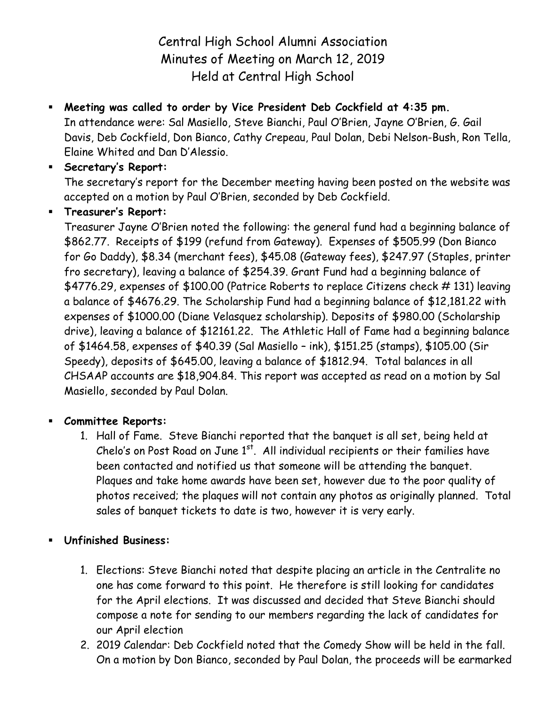Central High School Alumni Association Minutes of Meeting on March 12, 2019 Held at Central High School

 **Meeting was called to order by Vice President Deb Cockfield at 4:35 pm.** In attendance were: Sal Masiello, Steve Bianchi, Paul O'Brien, Jayne O'Brien, G. Gail Davis, Deb Cockfield, Don Bianco, Cathy Crepeau, Paul Dolan, Debi Nelson-Bush, Ron Tella, Elaine Whited and Dan D'Alessio.

## **Secretary's Report:**

The secretary's report for the December meeting having been posted on the website was accepted on a motion by Paul O'Brien, seconded by Deb Cockfield.

## **Treasurer's Report:**

Treasurer Jayne O'Brien noted the following: the general fund had a beginning balance of \$862.77. Receipts of \$199 (refund from Gateway). Expenses of \$505.99 (Don Bianco for Go Daddy), \$8.34 (merchant fees), \$45.08 (Gateway fees), \$247.97 (Staples, printer fro secretary), leaving a balance of \$254.39. Grant Fund had a beginning balance of \$4776.29, expenses of \$100.00 (Patrice Roberts to replace Citizens check # 131) leaving a balance of \$4676.29. The Scholarship Fund had a beginning balance of \$12,181.22 with expenses of \$1000.00 (Diane Velasquez scholarship). Deposits of \$980.00 (Scholarship drive), leaving a balance of \$12161.22. The Athletic Hall of Fame had a beginning balance of \$1464.58, expenses of \$40.39 (Sal Masiello – ink), \$151.25 (stamps), \$105.00 (Sir Speedy), deposits of \$645.00, leaving a balance of \$1812.94. Total balances in all CHSAAP accounts are \$18,904.84. This report was accepted as read on a motion by Sal Masiello, seconded by Paul Dolan.

## **Committee Reports:**

- 1. Hall of Fame. Steve Bianchi reported that the banquet is all set, being held at Chelo's on Post Road on June  $1<sup>st</sup>$ . All individual recipients or their families have been contacted and notified us that someone will be attending the banquet. Plaques and take home awards have been set, however due to the poor quality of photos received; the plaques will not contain any photos as originally planned. Total sales of banquet tickets to date is two, however it is very early.
- **Unfinished Business:**
	- 1. Elections: Steve Bianchi noted that despite placing an article in the Centralite no one has come forward to this point. He therefore is still looking for candidates for the April elections. It was discussed and decided that Steve Bianchi should compose a note for sending to our members regarding the lack of candidates for our April election
	- 2. 2019 Calendar: Deb Cockfield noted that the Comedy Show will be held in the fall. On a motion by Don Bianco, seconded by Paul Dolan, the proceeds will be earmarked